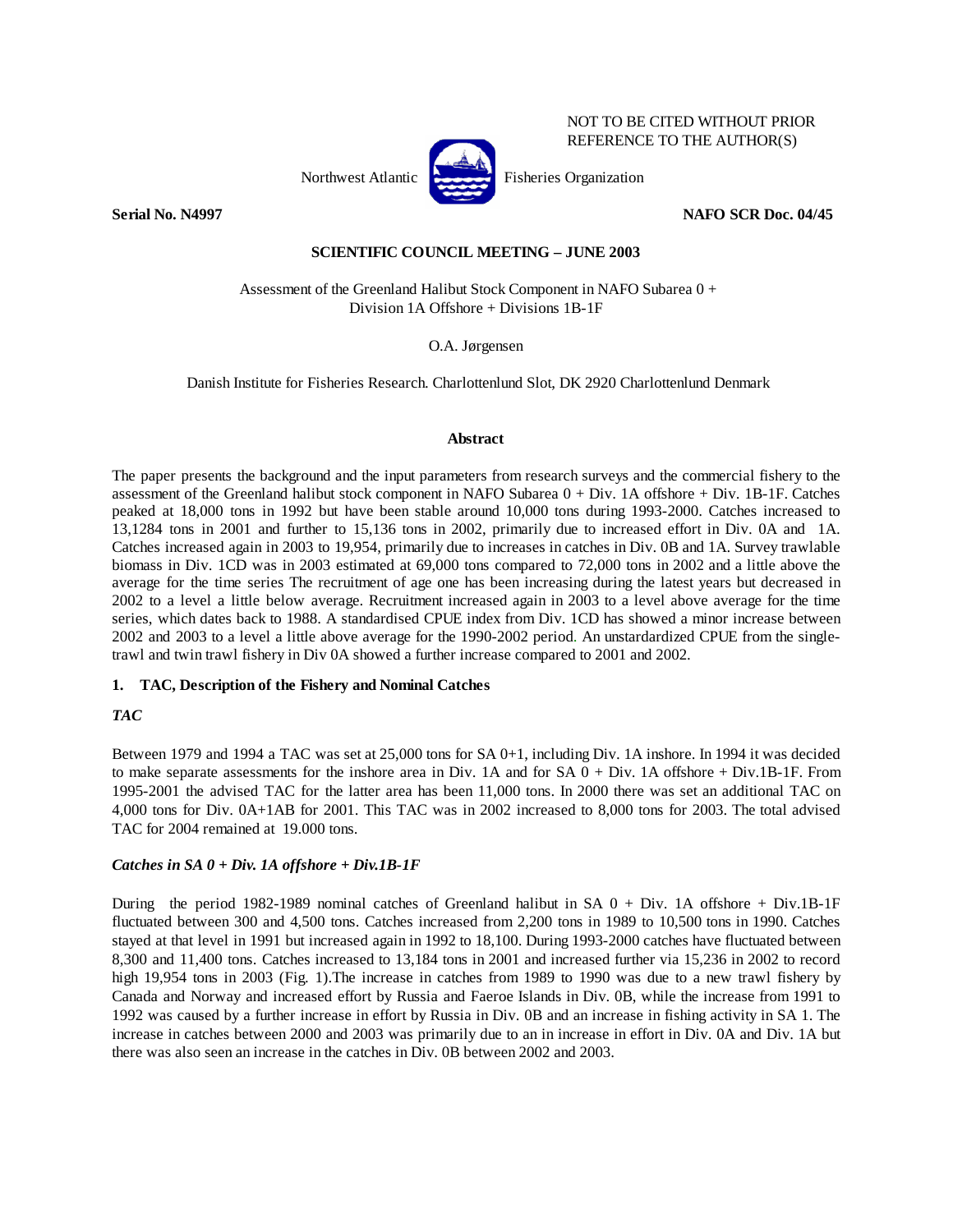

NOT TO BE CITED WITHOUT PRIOR REFERENCE TO THE AUTHOR(S)

**Serial No. N4997 NAFO SCR Doc. 04/45** 

# **SCIENTIFIC COUNCIL MEETING – JUNE 2003**

 Assessment of the Greenland Halibut Stock Component in NAFO Subarea 0 + Division 1A Offshore + Divisions 1B-1F

O.A. Jørgensen

Danish Institute for Fisheries Research. Charlottenlund Slot, DK 2920 Charlottenlund Denmark

## **Abstract**

The paper presents the background and the input parameters from research surveys and the commercial fishery to the assessment of the Greenland halibut stock component in NAFO Subarea 0 + Div. 1A offshore + Div. 1B-1F. Catches peaked at 18,000 tons in 1992 but have been stable around 10,000 tons during 1993-2000. Catches increased to 13,1284 tons in 2001 and further to 15,136 tons in 2002, primarily due to increased effort in Div. 0A and 1A. Catches increased again in 2003 to 19,954, primarily due to increases in catches in Div. 0B and 1A. Survey trawlable biomass in Div. 1CD was in 2003 estimated at 69,000 tons compared to 72,000 tons in 2002 and a little above the average for the time series The recruitment of age one has been increasing during the latest years but decreased in 2002 to a level a little below average. Recruitment increased again in 2003 to a level above average for the time series, which dates back to 1988. A standardised CPUE index from Div. 1CD has showed a minor increase between 2002 and 2003 to a level a little above average for the 1990-2002 period. An unstardardized CPUE from the singletrawl and twin trawl fishery in Div 0A showed a further increase compared to 2001 and 2002.

# **1. TAC, Description of the Fishery and Nominal Catches**

# *TAC*

Between 1979 and 1994 a TAC was set at 25,000 tons for SA 0+1, including Div. 1A inshore. In 1994 it was decided to make separate assessments for the inshore area in Div. 1A and for SA 0 + Div. 1A offshore + Div.1B-1F. From 1995-2001 the advised TAC for the latter area has been 11,000 tons. In 2000 there was set an additional TAC on 4,000 tons for Div. 0A+1AB for 2001. This TAC was in 2002 increased to 8,000 tons for 2003. The total advised TAC for 2004 remained at 19.000 tons.

## *Catches in SA 0 + Div. 1A offshore + Div.1B-1F*

During the period 1982-1989 nominal catches of Greenland halibut in SA  $0 + Div.$  1A offshore + Div.1B-1F fluctuated between 300 and 4,500 tons. Catches increased from 2,200 tons in 1989 to 10,500 tons in 1990. Catches stayed at that level in 1991 but increased again in 1992 to 18,100. During 1993-2000 catches have fluctuated between 8,300 and 11,400 tons. Catches increased to 13,184 tons in 2001 and increased further via 15,236 in 2002 to record high 19,954 tons in 2003 (Fig. 1).The increase in catches from 1989 to 1990 was due to a new trawl fishery by Canada and Norway and increased effort by Russia and Faeroe Islands in Div. 0B, while the increase from 1991 to 1992 was caused by a further increase in effort by Russia in Div. 0B and an increase in fishing activity in SA 1. The increase in catches between 2000 and 2003 was primarily due to an in increase in effort in Div. 0A and Div. 1A but there was also seen an increase in the catches in Div. 0B between 2002 and 2003.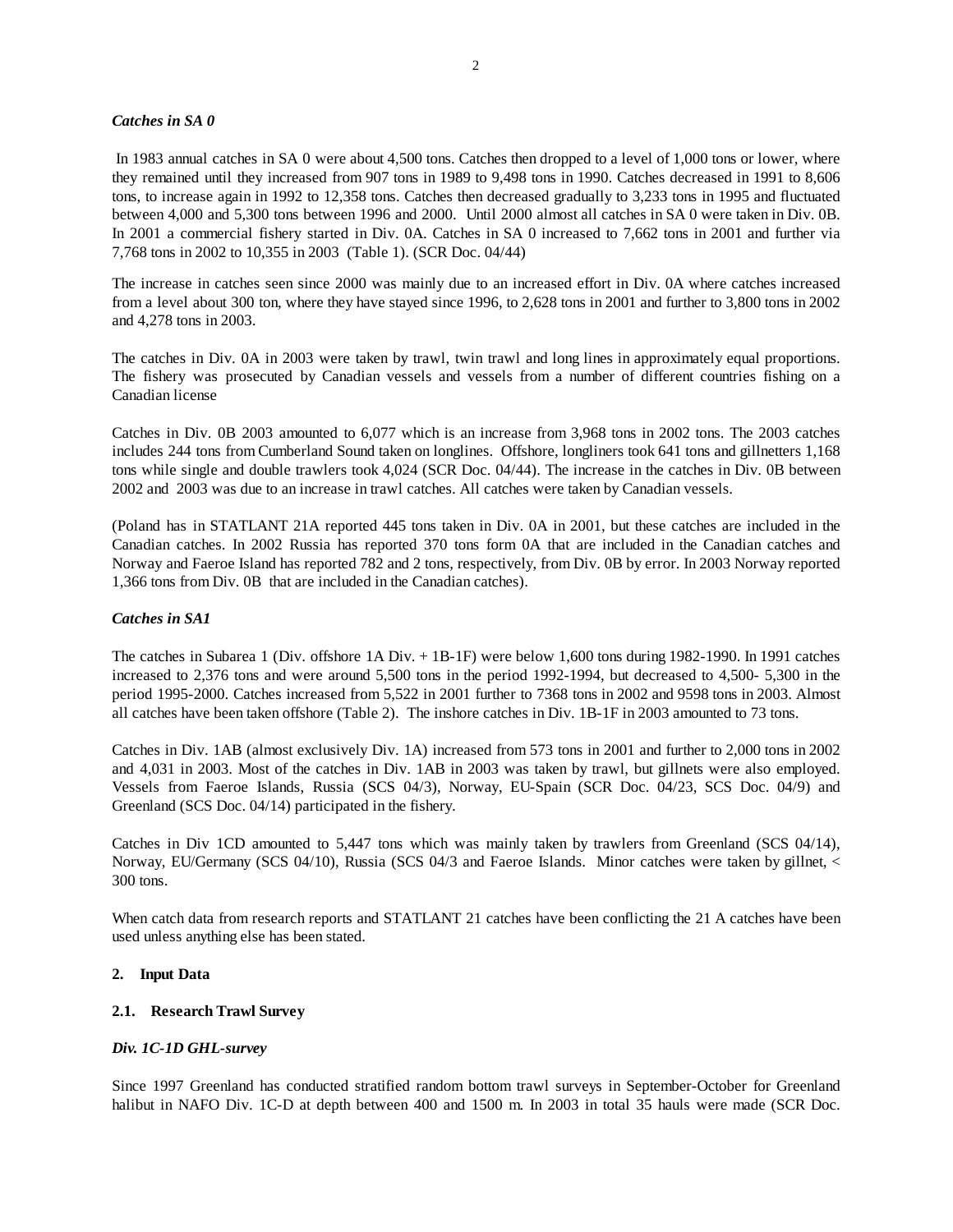## *Catches in SA 0*

 In 1983 annual catches in SA 0 were about 4,500 tons. Catches then dropped to a level of 1,000 tons or lower, where they remained until they increased from 907 tons in 1989 to 9,498 tons in 1990. Catches decreased in 1991 to 8,606 tons, to increase again in 1992 to 12,358 tons. Catches then decreased gradually to 3,233 tons in 1995 and fluctuated between 4,000 and 5,300 tons between 1996 and 2000. Until 2000 almost all catches in SA 0 were taken in Div. 0B. In 2001 a commercial fishery started in Div. 0A. Catches in SA 0 increased to 7,662 tons in 2001 and further via 7,768 tons in 2002 to 10,355 in 2003 (Table 1). (SCR Doc. 04/44)

The increase in catches seen since 2000 was mainly due to an increased effort in Div. 0A where catches increased from a level about 300 ton, where they have stayed since 1996, to 2,628 tons in 2001 and further to 3,800 tons in 2002 and 4,278 tons in 2003.

The catches in Div. 0A in 2003 were taken by trawl, twin trawl and long lines in approximately equal proportions. The fishery was prosecuted by Canadian vessels and vessels from a number of different countries fishing on a Canadian license

Catches in Div. 0B 2003 amounted to 6,077 which is an increase from 3,968 tons in 2002 tons. The 2003 catches includes 244 tons from Cumberland Sound taken on longlines. Offshore, longliners took 641 tons and gillnetters 1,168 tons while single and double trawlers took 4,024 (SCR Doc. 04/44). The increase in the catches in Div. 0B between 2002 and 2003 was due to an increase in trawl catches. All catches were taken by Canadian vessels.

(Poland has in STATLANT 21A reported 445 tons taken in Div. 0A in 2001, but these catches are included in the Canadian catches. In 2002 Russia has reported 370 tons form 0A that are included in the Canadian catches and Norway and Faeroe Island has reported 782 and 2 tons, respectively, from Div. 0B by error. In 2003 Norway reported 1,366 tons from Div. 0B that are included in the Canadian catches).

#### *Catches in SA1*

The catches in Subarea 1 (Div. offshore 1A Div. + 1B-1F) were below 1,600 tons during 1982-1990. In 1991 catches increased to 2,376 tons and were around 5,500 tons in the period 1992-1994, but decreased to 4,500- 5,300 in the period 1995-2000. Catches increased from 5,522 in 2001 further to 7368 tons in 2002 and 9598 tons in 2003. Almost all catches have been taken offshore (Table 2). The inshore catches in Div. 1B-1F in 2003 amounted to 73 tons.

Catches in Div. 1AB (almost exclusively Div. 1A) increased from 573 tons in 2001 and further to 2,000 tons in 2002 and 4,031 in 2003. Most of the catches in Div. 1AB in 2003 was taken by trawl, but gillnets were also employed. Vessels from Faeroe Islands, Russia (SCS 04/3), Norway, EU-Spain (SCR Doc. 04/23, SCS Doc. 04/9) and Greenland (SCS Doc. 04/14) participated in the fishery.

Catches in Div 1CD amounted to 5,447 tons which was mainly taken by trawlers from Greenland (SCS 04/14), Norway, EU/Germany (SCS 04/10), Russia (SCS 04/3 and Faeroe Islands. Minor catches were taken by gillnet, < 300 tons.

When catch data from research reports and STATLANT 21 catches have been conflicting the 21 A catches have been used unless anything else has been stated.

## **2. Input Data**

### **2.1. Research Trawl Survey**

#### *Div. 1C-1D GHL-survey*

Since 1997 Greenland has conducted stratified random bottom trawl surveys in September-October for Greenland halibut in NAFO Div. 1C-D at depth between 400 and 1500 m. In 2003 in total 35 hauls were made (SCR Doc.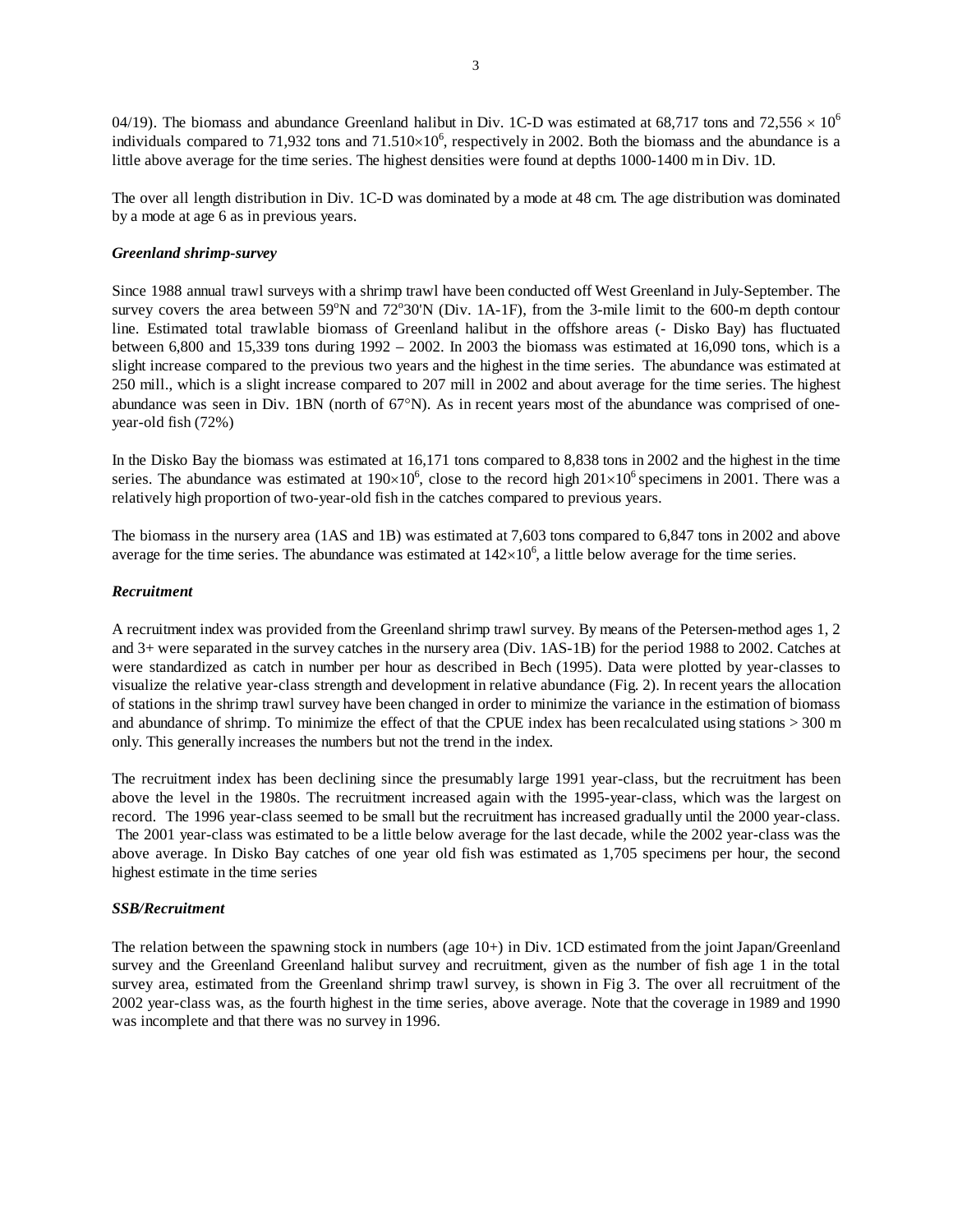04/19). The biomass and abundance Greenland halibut in Div. 1C-D was estimated at 68,717 tons and 72,556  $\times$  10<sup>6</sup> individuals compared to 71,932 tons and  $71.510\times10^6$ , respectively in 2002. Both the biomass and the abundance is a little above average for the time series. The highest densities were found at depths 1000-1400 m in Div. 1D.

The over all length distribution in Div. 1C-D was dominated by a mode at 48 cm. The age distribution was dominated by a mode at age 6 as in previous years.

#### *Greenland shrimp-survey*

Since 1988 annual trawl surveys with a shrimp trawl have been conducted off West Greenland in July-September. The survey covers the area between  $59^{\circ}$ N and  $72^{\circ}30'$ N (Div. 1A-1F), from the 3-mile limit to the 600-m depth contour line. Estimated total trawlable biomass of Greenland halibut in the offshore areas (- Disko Bay) has fluctuated between 6,800 and 15,339 tons during 1992 – 2002. In 2003 the biomass was estimated at 16,090 tons, which is a slight increase compared to the previous two years and the highest in the time series. The abundance was estimated at 250 mill., which is a slight increase compared to 207 mill in 2002 and about average for the time series. The highest abundance was seen in Div. 1BN (north of 67°N). As in recent years most of the abundance was comprised of oneyear-old fish (72%)

In the Disko Bay the biomass was estimated at 16,171 tons compared to 8,838 tons in 2002 and the highest in the time series. The abundance was estimated at  $190\times10^6$ , close to the record high  $201\times10^6$  specimens in 2001. There was a relatively high proportion of two-year-old fish in the catches compared to previous years.

The biomass in the nursery area (1AS and 1B) was estimated at 7,603 tons compared to 6,847 tons in 2002 and above average for the time series. The abundance was estimated at  $142\times10^6$ , a little below average for the time series.

#### *Recruitment*

A recruitment index was provided from the Greenland shrimp trawl survey. By means of the Petersen-method ages 1, 2 and 3+ were separated in the survey catches in the nursery area (Div. 1AS-1B) for the period 1988 to 2002. Catches at were standardized as catch in number per hour as described in Bech (1995). Data were plotted by year-classes to visualize the relative year-class strength and development in relative abundance (Fig. 2). In recent years the allocation of stations in the shrimp trawl survey have been changed in order to minimize the variance in the estimation of biomass and abundance of shrimp. To minimize the effect of that the CPUE index has been recalculated using stations > 300 m only. This generally increases the numbers but not the trend in the index.

The recruitment index has been declining since the presumably large 1991 year-class, but the recruitment has been above the level in the 1980s. The recruitment increased again with the 1995-year-class, which was the largest on record. The 1996 year-class seemed to be small but the recruitment has increased gradually until the 2000 year-class. The 2001 year-class was estimated to be a little below average for the last decade, while the 2002 year-class was the above average. In Disko Bay catches of one year old fish was estimated as 1,705 specimens per hour, the second highest estimate in the time series

## *SSB/Recruitment*

The relation between the spawning stock in numbers (age 10+) in Div. 1CD estimated from the joint Japan/Greenland survey and the Greenland Greenland halibut survey and recruitment, given as the number of fish age 1 in the total survey area, estimated from the Greenland shrimp trawl survey, is shown in Fig 3. The over all recruitment of the 2002 year-class was, as the fourth highest in the time series, above average. Note that the coverage in 1989 and 1990 was incomplete and that there was no survey in 1996.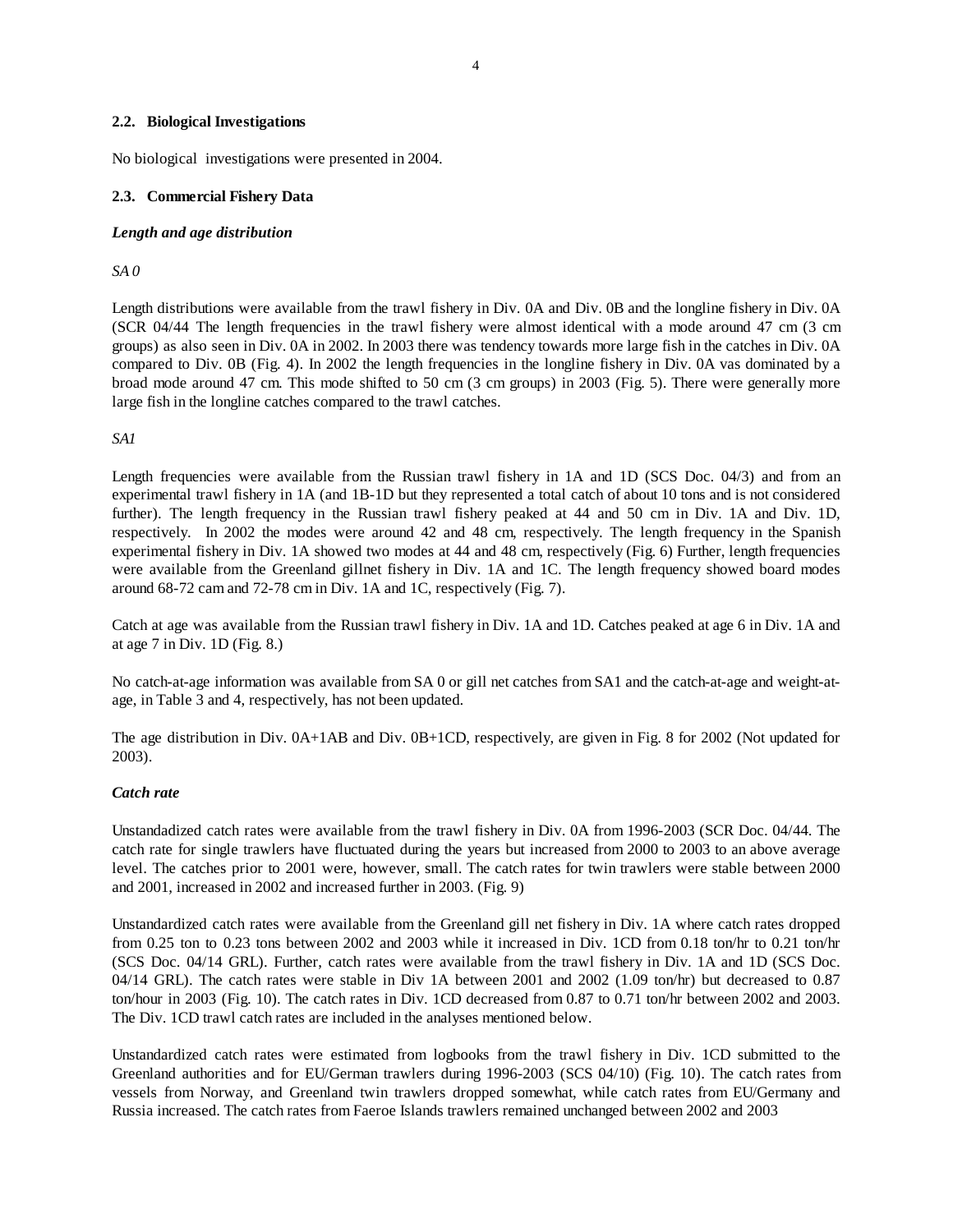## **2.2. Biological Investigations**

No biological investigations were presented in 2004.

## **2.3. Commercial Fishery Data**

## *Length and age distribution*

*SA 0* 

Length distributions were available from the trawl fishery in Div. 0A and Div. 0B and the longline fishery in Div. 0A (SCR 04/44 The length frequencies in the trawl fishery were almost identical with a mode around 47 cm (3 cm groups) as also seen in Div. 0A in 2002. In 2003 there was tendency towards more large fish in the catches in Div. 0A compared to Div. 0B (Fig. 4). In 2002 the length frequencies in the longline fishery in Div. 0A vas dominated by a broad mode around 47 cm. This mode shifted to 50 cm (3 cm groups) in 2003 (Fig. 5). There were generally more large fish in the longline catches compared to the trawl catches.

*SA1* 

Length frequencies were available from the Russian trawl fishery in 1A and 1D (SCS Doc. 04/3) and from an experimental trawl fishery in 1A (and 1B-1D but they represented a total catch of about 10 tons and is not considered further). The length frequency in the Russian trawl fishery peaked at 44 and 50 cm in Div. 1A and Div. 1D, respectively. In 2002 the modes were around 42 and 48 cm, respectively. The length frequency in the Spanish experimental fishery in Div. 1A showed two modes at 44 and 48 cm, respectively (Fig. 6) Further, length frequencies were available from the Greenland gillnet fishery in Div. 1A and 1C. The length frequency showed board modes around 68-72 cam and 72-78 cm in Div. 1A and 1C, respectively (Fig. 7).

Catch at age was available from the Russian trawl fishery in Div. 1A and 1D. Catches peaked at age 6 in Div. 1A and at age 7 in Div. 1D (Fig. 8.)

No catch-at-age information was available from SA 0 or gill net catches from SA1 and the catch-at-age and weight-atage, in Table 3 and 4, respectively, has not been updated.

The age distribution in Div. 0A+1AB and Div. 0B+1CD, respectively, are given in Fig. 8 for 2002 (Not updated for 2003).

#### *Catch rate*

Unstandadized catch rates were available from the trawl fishery in Div. 0A from 1996-2003 (SCR Doc. 04/44. The catch rate for single trawlers have fluctuated during the years but increased from 2000 to 2003 to an above average level. The catches prior to 2001 were, however, small. The catch rates for twin trawlers were stable between 2000 and 2001, increased in 2002 and increased further in 2003. (Fig. 9)

Unstandardized catch rates were available from the Greenland gill net fishery in Div. 1A where catch rates dropped from 0.25 ton to 0.23 tons between 2002 and 2003 while it increased in Div. 1CD from 0.18 ton/hr to 0.21 ton/hr (SCS Doc. 04/14 GRL). Further, catch rates were available from the trawl fishery in Div. 1A and 1D (SCS Doc. 04/14 GRL). The catch rates were stable in Div 1A between 2001 and 2002 (1.09 ton/hr) but decreased to 0.87 ton/hour in 2003 (Fig. 10). The catch rates in Div. 1CD decreased from 0.87 to 0.71 ton/hr between 2002 and 2003. The Div. 1CD trawl catch rates are included in the analyses mentioned below.

Unstandardized catch rates were estimated from logbooks from the trawl fishery in Div. 1CD submitted to the Greenland authorities and for EU/German trawlers during 1996-2003 (SCS 04/10) (Fig. 10). The catch rates from vessels from Norway, and Greenland twin trawlers dropped somewhat, while catch rates from EU/Germany and Russia increased. The catch rates from Faeroe Islands trawlers remained unchanged between 2002 and 2003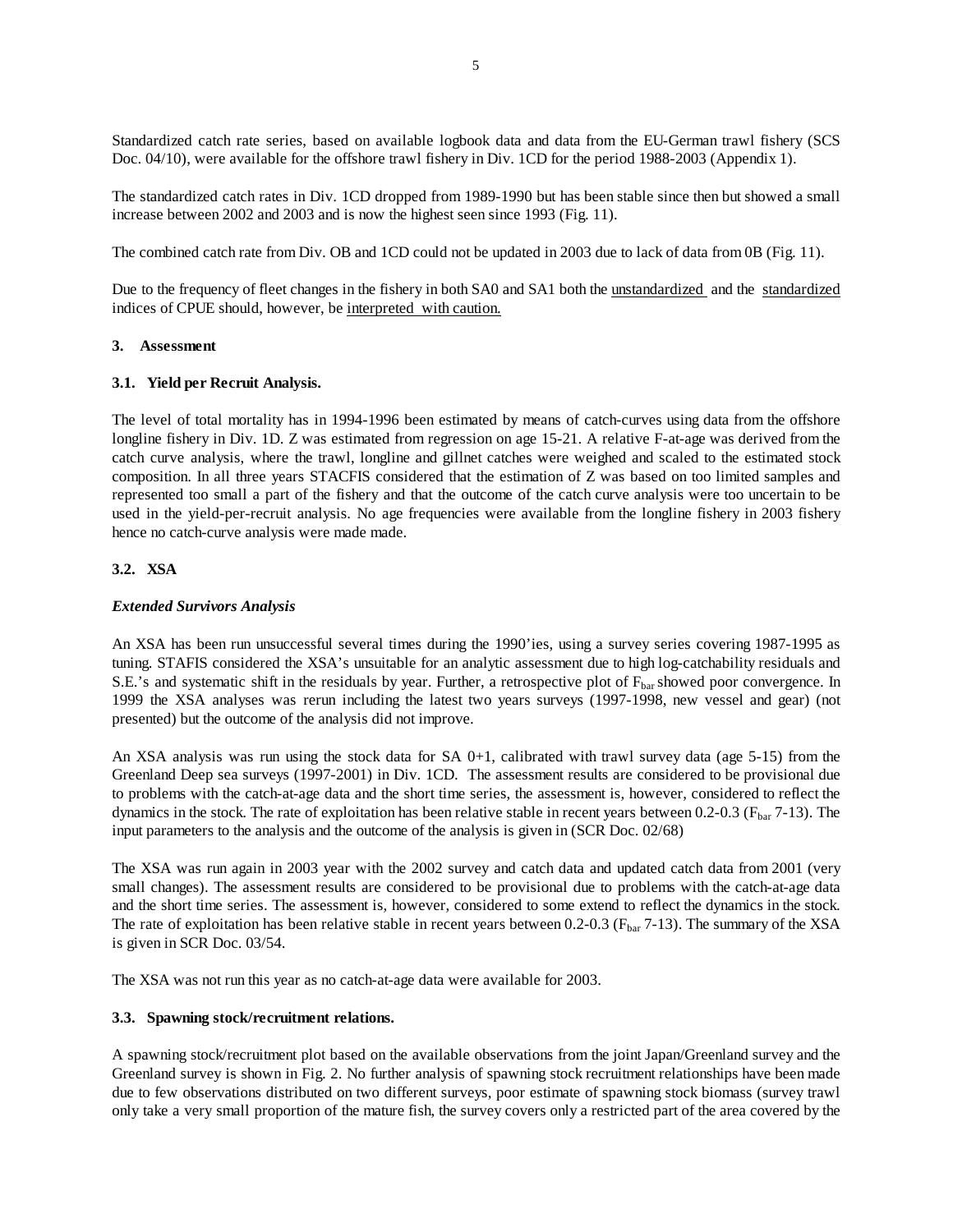Standardized catch rate series, based on available logbook data and data from the EU-German trawl fishery (SCS Doc. 04/10), were available for the offshore trawl fishery in Div. 1CD for the period 1988-2003 (Appendix 1).

The standardized catch rates in Div. 1CD dropped from 1989-1990 but has been stable since then but showed a small increase between 2002 and 2003 and is now the highest seen since 1993 (Fig. 11).

The combined catch rate from Div. OB and 1CD could not be updated in 2003 due to lack of data from 0B (Fig. 11).

Due to the frequency of fleet changes in the fishery in both SA0 and SA1 both the unstandardized and the standardized indices of CPUE should, however, be interpreted with caution.

#### **3. Assessment**

#### **3.1. Yield per Recruit Analysis.**

The level of total mortality has in 1994-1996 been estimated by means of catch-curves using data from the offshore longline fishery in Div. 1D. Z was estimated from regression on age 15-21. A relative F-at-age was derived from the catch curve analysis, where the trawl, longline and gillnet catches were weighed and scaled to the estimated stock composition. In all three years STACFIS considered that the estimation of Z was based on too limited samples and represented too small a part of the fishery and that the outcome of the catch curve analysis were too uncertain to be used in the yield-per-recruit analysis. No age frequencies were available from the longline fishery in 2003 fishery hence no catch-curve analysis were made made.

#### **3.2. XSA**

#### *Extended Survivors Analysis*

An XSA has been run unsuccessful several times during the 1990'ies, using a survey series covering 1987-1995 as tuning. STAFIS considered the XSA's unsuitable for an analytic assessment due to high log-catchability residuals and S.E.'s and systematic shift in the residuals by year. Further, a retrospective plot of  $F_{bar}$  showed poor convergence. In 1999 the XSA analyses was rerun including the latest two years surveys (1997-1998, new vessel and gear) (not presented) but the outcome of the analysis did not improve.

An XSA analysis was run using the stock data for SA 0+1, calibrated with trawl survey data (age 5-15) from the Greenland Deep sea surveys (1997-2001) in Div. 1CD. The assessment results are considered to be provisional due to problems with the catch-at-age data and the short time series, the assessment is, however, considered to reflect the dynamics in the stock. The rate of exploitation has been relative stable in recent years between  $0.2$ - $0.3$  ( $F_{\text{bar}}$  7-13). The input parameters to the analysis and the outcome of the analysis is given in (SCR Doc. 02/68)

The XSA was run again in 2003 year with the 2002 survey and catch data and updated catch data from 2001 (very small changes). The assessment results are considered to be provisional due to problems with the catch-at-age data and the short time series. The assessment is, however, considered to some extend to reflect the dynamics in the stock. The rate of exploitation has been relative stable in recent years between 0.2-0.3 ( $F_{\text{bar}}$  7-13). The summary of the XSA is given in SCR Doc. 03/54.

The XSA was not run this year as no catch-at-age data were available for 2003.

#### **3.3. Spawning stock/recruitment relations.**

A spawning stock/recruitment plot based on the available observations from the joint Japan/Greenland survey and the Greenland survey is shown in Fig. 2. No further analysis of spawning stock recruitment relationships have been made due to few observations distributed on two different surveys, poor estimate of spawning stock biomass (survey trawl only take a very small proportion of the mature fish, the survey covers only a restricted part of the area covered by the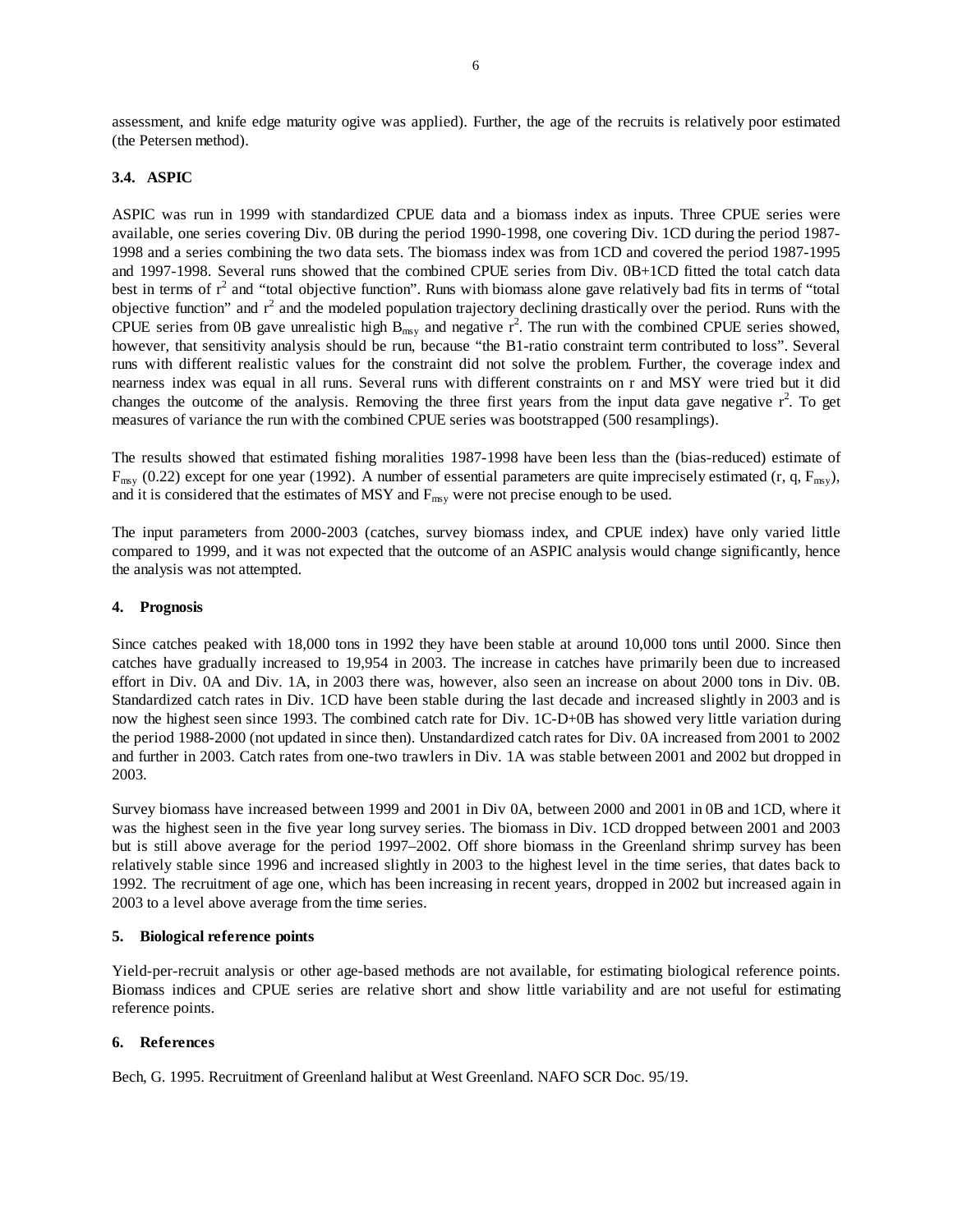assessment, and knife edge maturity ogive was applied). Further, the age of the recruits is relatively poor estimated (the Petersen method).

## **3.4. ASPIC**

ASPIC was run in 1999 with standardized CPUE data and a biomass index as inputs. Three CPUE series were available, one series covering Div. 0B during the period 1990-1998, one covering Div. 1CD during the period 1987- 1998 and a series combining the two data sets. The biomass index was from 1CD and covered the period 1987-1995 and 1997-1998. Several runs showed that the combined CPUE series from Div. 0B+1CD fitted the total catch data best in terms of  $r^2$  and "total objective function". Runs with biomass alone gave relatively bad fits in terms of "total objective function" and  $r^2$  and the modeled population trajectory declining drastically over the period. Runs with the CPUE series from 0B gave unrealistic high  $B_{msy}$  and negative  $r^2$ . The run with the combined CPUE series showed, however, that sensitivity analysis should be run, because "the B1-ratio constraint term contributed to loss". Several runs with different realistic values for the constraint did not solve the problem. Further, the coverage index and nearness index was equal in all runs. Several runs with different constraints on r and MSY were tried but it did changes the outcome of the analysis. Removing the three first years from the input data gave negative  $r^2$ . To get measures of variance the run with the combined CPUE series was bootstrapped (500 resamplings).

The results showed that estimated fishing moralities 1987-1998 have been less than the (bias-reduced) estimate of  $F_{\text{msy}}$  (0.22) except for one year (1992). A number of essential parameters are quite imprecisely estimated (r, q,  $F_{\text{msy}}$ ), and it is considered that the estimates of MSY and  $F_{\text{msy}}$  were not precise enough to be used.

The input parameters from 2000-2003 (catches, survey biomass index, and CPUE index) have only varied little compared to 1999, and it was not expected that the outcome of an ASPIC analysis would change significantly, hence the analysis was not attempted.

#### **4. Prognosis**

Since catches peaked with 18,000 tons in 1992 they have been stable at around 10,000 tons until 2000. Since then catches have gradually increased to 19,954 in 2003. The increase in catches have primarily been due to increased effort in Div. 0A and Div. 1A, in 2003 there was, however, also seen an increase on about 2000 tons in Div. 0B. Standardized catch rates in Div. 1CD have been stable during the last decade and increased slightly in 2003 and is now the highest seen since 1993. The combined catch rate for Div. 1C-D+0B has showed very little variation during the period 1988-2000 (not updated in since then). Unstandardized catch rates for Div. 0A increased from 2001 to 2002 and further in 2003. Catch rates from one-two trawlers in Div. 1A was stable between 2001 and 2002 but dropped in 2003.

Survey biomass have increased between 1999 and 2001 in Div 0A, between 2000 and 2001 in 0B and 1CD, where it was the highest seen in the five year long survey series. The biomass in Div. 1CD dropped between 2001 and 2003 but is still above average for the period 1997–2002. Off shore biomass in the Greenland shrimp survey has been relatively stable since 1996 and increased slightly in 2003 to the highest level in the time series, that dates back to 1992. The recruitment of age one, which has been increasing in recent years, dropped in 2002 but increased again in 2003 to a level above average from the time series.

#### **5. Biological reference points**

Yield-per-recruit analysis or other age-based methods are not available, for estimating biological reference points. Biomass indices and CPUE series are relative short and show little variability and are not useful for estimating reference points.

#### **6. References**

Bech, G. 1995. Recruitment of Greenland halibut at West Greenland. NAFO SCR Doc. 95/19.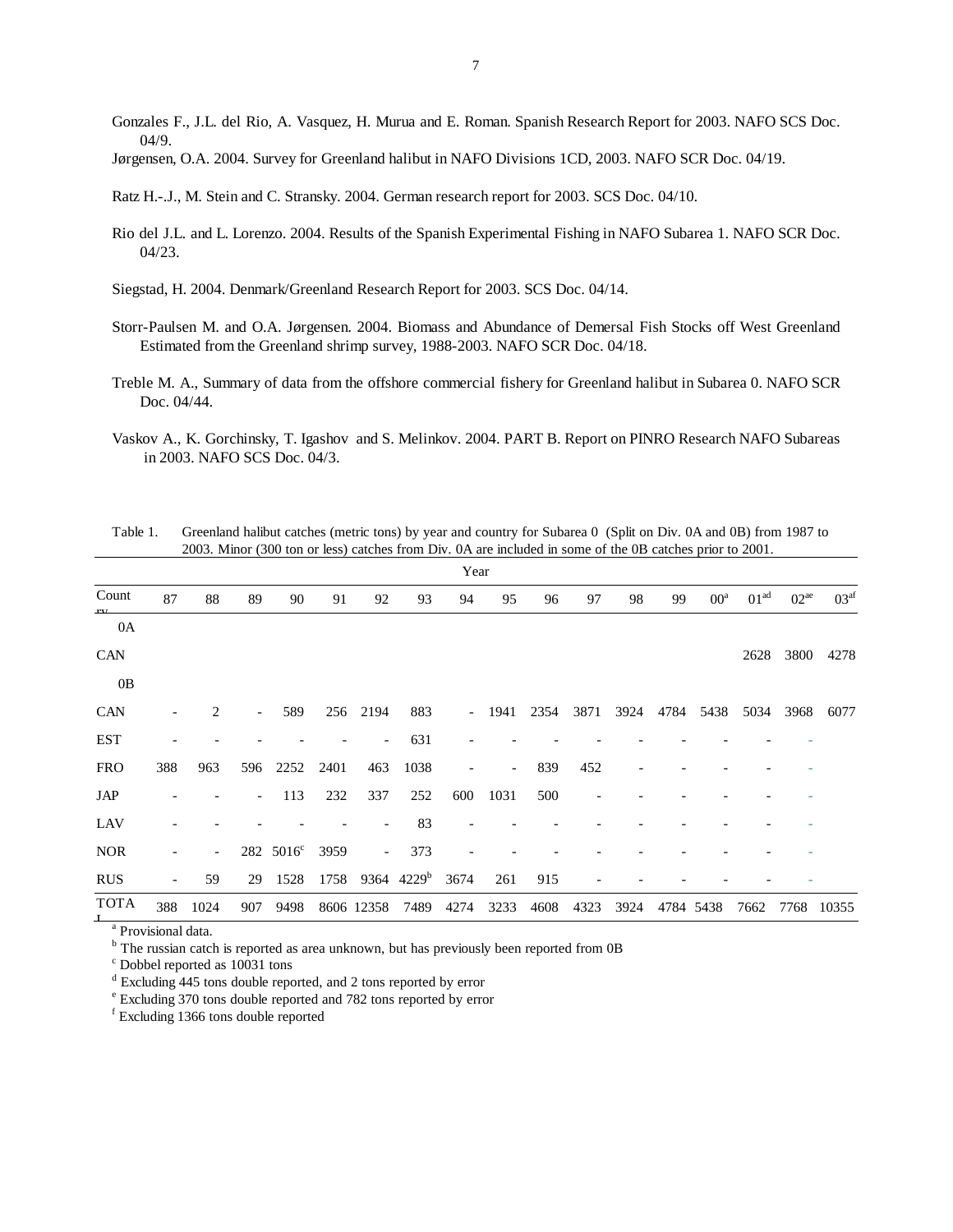Gonzales F., J.L. del Rio, A. Vasquez, H. Murua and E. Roman. Spanish Research Report for 2003. NAFO SCS Doc. 04/9.

Jørgensen, O.A. 2004. Survey for Greenland halibut in NAFO Divisions 1CD, 2003. NAFO SCR Doc. 04/19.

Ratz H.-.J., M. Stein and C. Stransky. 2004. German research report for 2003. SCS Doc. 04/10.

Rio del J.L. and L. Lorenzo. 2004. Results of the Spanish Experimental Fishing in NAFO Subarea 1. NAFO SCR Doc. 04/23.

Siegstad, H. 2004. Denmark/Greenland Research Report for 2003. SCS Doc. 04/14.

- Storr-Paulsen M. and O.A. Jørgensen. 2004. Biomass and Abundance of Demersal Fish Stocks off West Greenland Estimated from the Greenland shrimp survey, 1988-2003. NAFO SCR Doc. 04/18.
- Treble M. A., Summary of data from the offshore commercial fishery for Greenland halibut in Subarea 0. NAFO SCR Doc. 04/44.
- Vaskov A., K. Gorchinsky, T. Igashov and S. Melinkov. 2004. PART B. Report on PINRO Research NAFO Subareas in 2003. NAFO SCS Doc. 04/3.

|                           | Year |      |                          |                       |      |                          |                        |        |      |      |      |      |      |           |                  |           |                  |
|---------------------------|------|------|--------------------------|-----------------------|------|--------------------------|------------------------|--------|------|------|------|------|------|-----------|------------------|-----------|------------------|
| Count                     | 87   | 88   | 89                       | 90                    | 91   | 92                       | 93                     | 94     | 95   | 96   | 97   | 98   | 99   | $00^a$    | 01 <sup>ad</sup> | $02^{ae}$ | 03 <sup>af</sup> |
| 0A                        |      |      |                          |                       |      |                          |                        |        |      |      |      |      |      |           |                  |           |                  |
| <b>CAN</b>                |      |      |                          |                       |      |                          |                        |        |      |      |      |      |      |           | 2628             | 3800      | 4278             |
| 0B                        |      |      |                          |                       |      |                          |                        |        |      |      |      |      |      |           |                  |           |                  |
| <b>CAN</b>                |      | 2    | $\overline{\phantom{0}}$ | 589                   | 256  | 2194                     | 883                    | $\sim$ | 1941 | 2354 | 3871 | 3924 | 4784 | 5438      | 5034             | 3968      | 6077             |
| <b>EST</b>                |      |      |                          |                       |      | $\overline{\phantom{a}}$ | 631                    |        |      |      |      |      |      |           |                  |           |                  |
| <b>FRO</b>                | 388  | 963  | 596                      | 2252                  | 2401 | 463                      | 1038                   |        |      | 839  | 452  |      |      |           |                  |           |                  |
| JAP                       |      |      | $\overline{\phantom{0}}$ | 113                   | 232  | 337                      | 252                    | 600    | 1031 | 500  |      |      |      |           |                  |           |                  |
| LAV                       |      |      |                          |                       |      |                          | 83                     |        |      |      |      |      |      |           |                  |           |                  |
| <b>NOR</b>                |      |      |                          | 282 5016 <sup>c</sup> | 3959 | $\overline{\phantom{a}}$ | 373                    |        |      |      |      |      |      |           |                  |           |                  |
| <b>RUS</b>                |      | 59   | 29                       | 1528                  | 1758 |                          | 9364 4229 <sup>b</sup> | 3674   | 261  | 915  |      |      |      |           |                  |           |                  |
| <b>TOTA</b><br>$\alpha =$ | 388  | 1024 | 907                      | 9498                  |      | 8606 12358               | 7489                   | 4274   | 3233 | 4608 | 4323 | 3924 |      | 4784 5438 | 7662             | 7768      | 10355            |

Table 1. Greenland halibut catches (metric tons) by year and country for Subarea 0 (Split on Div. 0A and 0B) from 1987 to 2003. Minor (300 ton or less) catches from Div. 0A are included in some of the 0B catches prior to 2001.

<sup>a</sup> Provisional data.

<sup>b</sup> The russian catch is reported as area unknown, but has previously been reported from 0B

c Dobbel reported as 10031 tons

<sup>d</sup> Excluding 445 tons double reported, and 2 tons reported by error

e Excluding 370 tons double reported and 782 tons reported by error

f Excluding 1366 tons double reported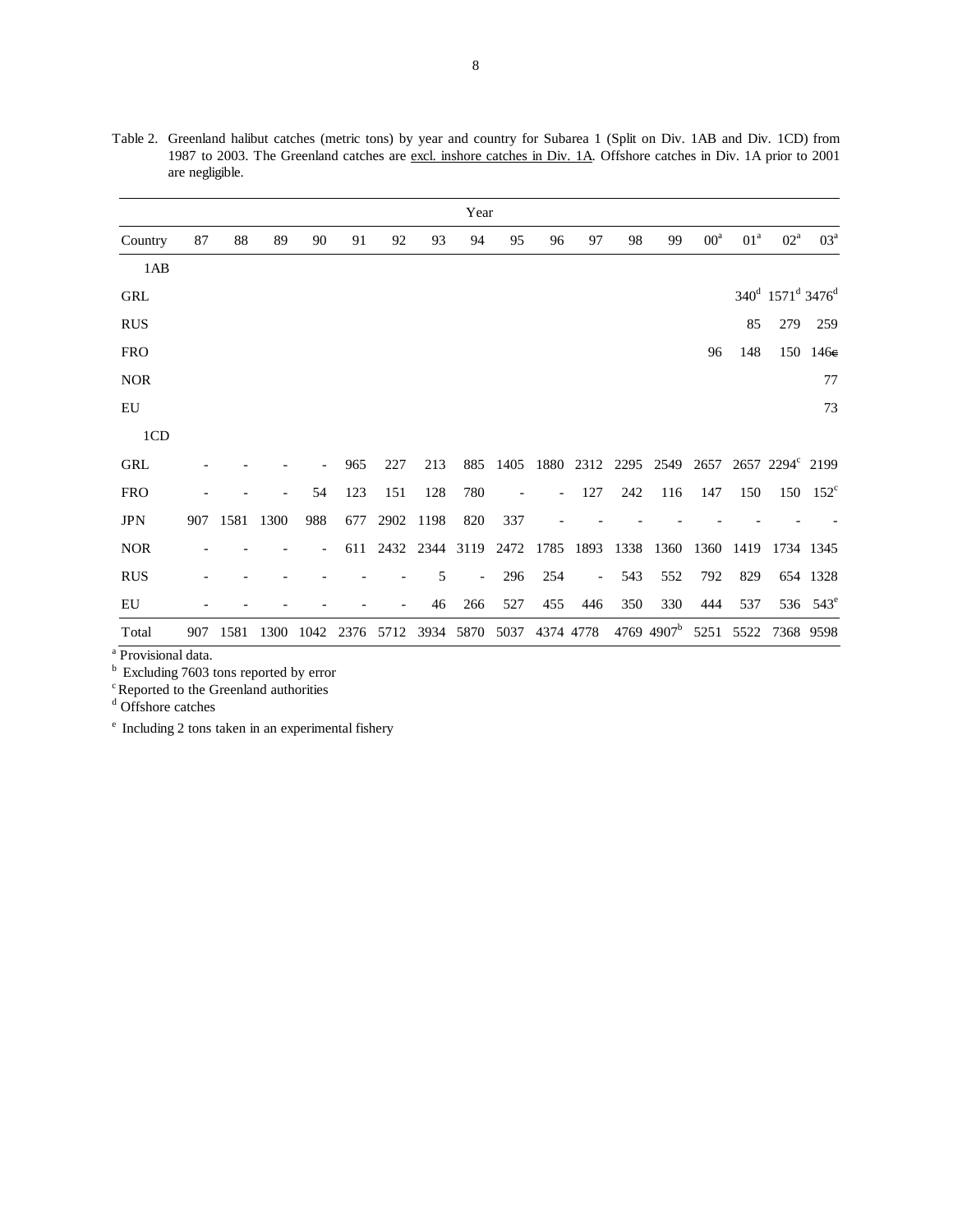|            |     |      |      |                          |      |      |      | Year           |      |     |           |      |                        |              |                 |                                                      |                      |
|------------|-----|------|------|--------------------------|------|------|------|----------------|------|-----|-----------|------|------------------------|--------------|-----------------|------------------------------------------------------|----------------------|
| Country    | 87  | 88   | 89   | 90                       | 91   | 92   | 93   | 94             | 95   | 96  | 97        | 98   | 99                     | $00^{\rm a}$ | 01 <sup>a</sup> | $02^a$                                               | $03^a$               |
| 1AB        |     |      |      |                          |      |      |      |                |      |     |           |      |                        |              |                 |                                                      |                      |
| <b>GRL</b> |     |      |      |                          |      |      |      |                |      |     |           |      |                        |              |                 | 340 <sup>d</sup> 1571 <sup>d</sup> 3476 <sup>d</sup> |                      |
| <b>RUS</b> |     |      |      |                          |      |      |      |                |      |     |           |      |                        |              | 85              | 279                                                  | 259                  |
| <b>FRO</b> |     |      |      |                          |      |      |      |                |      |     |           |      |                        | 96           | 148             |                                                      | 150 146e             |
| <b>NOR</b> |     |      |      |                          |      |      |      |                |      |     |           |      |                        |              |                 |                                                      | 77                   |
| EU         |     |      |      |                          |      |      |      |                |      |     |           |      |                        |              |                 |                                                      | 73                   |
| 1CD        |     |      |      |                          |      |      |      |                |      |     |           |      |                        |              |                 |                                                      |                      |
| <b>GRL</b> |     |      |      |                          | 965  | 227  | 213  | 885            | 1405 |     |           |      | 1880 2312 2295 2549    | 2657         |                 | 2657 2294° 2199                                      |                      |
| <b>FRO</b> |     |      |      | 54                       | 123  | 151  | 128  | 780            |      |     | 127       | 242  | 116                    | 147          | 150             | 150                                                  | $152^{\circ}$        |
| <b>JPN</b> | 907 | 1581 | 1300 | 988                      | 677  | 2902 | 1198 | 820            | 337  |     |           |      |                        |              |                 |                                                      |                      |
| <b>NOR</b> |     |      |      | $\overline{\phantom{a}}$ | 611  |      |      | 2432 2344 3119 | 2472 |     | 1785 1893 | 1338 | 1360                   | 1360         | 1419            |                                                      | 1734 1345            |
| <b>RUS</b> |     |      |      |                          |      |      | 5    | $\overline{a}$ | 296  | 254 |           | 543  | 552                    | 792          | 829             |                                                      | 654 1328             |
| EU         |     |      |      |                          |      |      | 46   | 266            | 527  | 455 | 446       | 350  | 330                    | 444          | 537             |                                                      | 536 543 <sup>e</sup> |
| Total      | 907 | 1581 | 1300 | 1042                     | 2376 | 5712 |      | 3934 5870      | 5037 |     | 4374 4778 |      | 4769 4907 <sup>b</sup> | 5251         | 5522            |                                                      | 7368 9598            |

Table 2. Greenland halibut catches (metric tons) by year and country for Subarea 1 (Split on Div. 1AB and Div. 1CD) from 1987 to 2003. The Greenland catches are excl. inshore catches in Div. 1A. Offshore catches in Div. 1A prior to 2001 are negligible.

<sup>a</sup> Provisional data.

<sup>b</sup> Excluding 7603 tons reported by error

<sup>c</sup> Reported to the Greenland authorities do Offshore catches

e Including 2 tons taken in an experimental fishery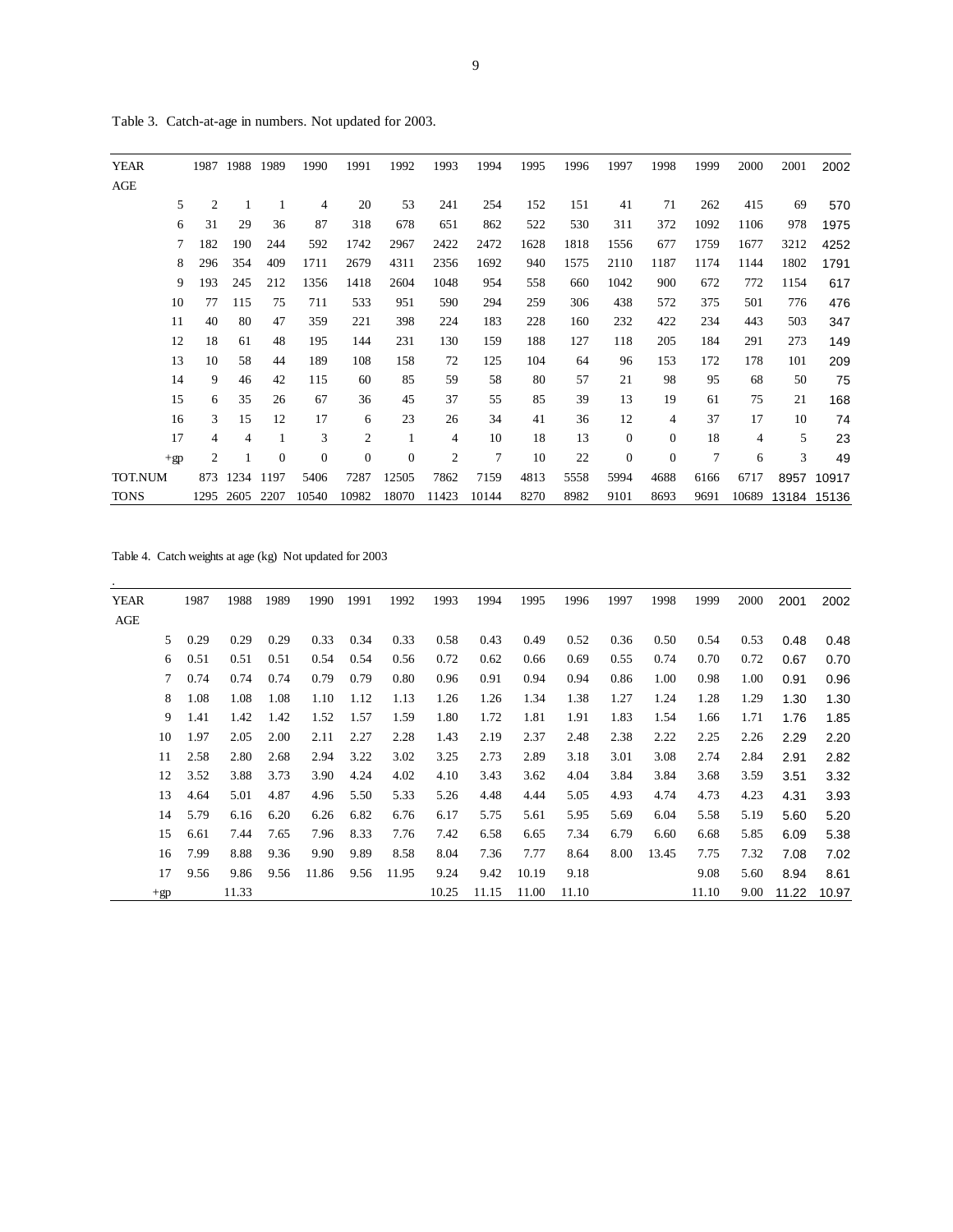| <b>YEAR</b> | 1987           | 1988           | 1989         | 1990             | 1991           | 1992             | 1993           | 1994  | 1995 | 1996 | 1997             | 1998             | 1999 | 2000           | 2001  | 2002  |
|-------------|----------------|----------------|--------------|------------------|----------------|------------------|----------------|-------|------|------|------------------|------------------|------|----------------|-------|-------|
| AGE         |                |                |              |                  |                |                  |                |       |      |      |                  |                  |      |                |       |       |
| 5           | $\overline{2}$ |                |              | $\overline{4}$   | 20             | 53               | 241            | 254   | 152  | 151  | 41               | 71               | 262  | 415            | 69    | 570   |
| 6           | 31             | 29             | 36           | 87               | 318            | 678              | 651            | 862   | 522  | 530  | 311              | 372              | 1092 | 1106           | 978   | 1975  |
| 7           | 182            | 190            | 244          | 592              | 1742           | 2967             | 2422           | 2472  | 1628 | 1818 | 1556             | 677              | 1759 | 1677           | 3212  | 4252  |
| 8           | 296            | 354            | 409          | 1711             | 2679           | 4311             | 2356           | 1692  | 940  | 1575 | 2110             | 1187             | 1174 | 1144           | 1802  | 1791  |
| 9           | 193            | 245            | 212          | 1356             | 1418           | 2604             | 1048           | 954   | 558  | 660  | 1042             | 900              | 672  | 772            | 1154  | 617   |
| 10          | 77             | 115            | 75           | 711              | 533            | 951              | 590            | 294   | 259  | 306  | 438              | 572              | 375  | 501            | 776   | 476   |
| 11          | 40             | 80             | 47           | 359              | 221            | 398              | 224            | 183   | 228  | 160  | 232              | 422              | 234  | 443            | 503   | 347   |
| 12          | 18             | 61             | 48           | 195              | 144            | 231              | 130            | 159   | 188  | 127  | 118              | 205              | 184  | 291            | 273   | 149   |
| 13          | 10             | 58             | 44           | 189              | 108            | 158              | 72             | 125   | 104  | 64   | 96               | 153              | 172  | 178            | 101   | 209   |
| 14          | 9              | 46             | 42           | 115              | 60             | 85               | 59             | 58    | 80   | 57   | 21               | 98               | 95   | 68             | 50    | 75    |
| 15          | 6              | 35             | 26           | 67               | 36             | 45               | 37             | 55    | 85   | 39   | 13               | 19               | 61   | 75             | 21    | 168   |
| 16          | 3              | 15             | 12           | 17               | 6              | 23               | 26             | 34    | 41   | 36   | 12               | 4                | 37   | 17             | 10    | 74    |
| 17          | 4              | $\overline{4}$ | 1            | 3                | $\mathfrak{2}$ | $\mathbf{1}$     | $\overline{4}$ | 10    | 18   | 13   | $\boldsymbol{0}$ | $\mathbf{0}$     | 18   | $\overline{4}$ | 5     | 23    |
| $+gp$       | 2              |                | $\mathbf{0}$ | $\boldsymbol{0}$ | $\mathbf{0}$   | $\boldsymbol{0}$ | $\mathfrak{2}$ | 7     | 10   | 22   | $\boldsymbol{0}$ | $\boldsymbol{0}$ | 7    | 6              | 3     | 49    |
| TOT.NUM     | 873            | 1234           | 1197         | 5406             | 7287           | 12505            | 7862           | 7159  | 4813 | 5558 | 5994             | 4688             | 6166 | 6717           | 8957  | 10917 |
| <b>TONS</b> | 1295           | 2605           | 2207         | 10540            | 10982          | 18070            | 11423          | 10144 | 8270 | 8982 | 9101             | 8693             | 9691 | 10689          | 13184 | 15136 |
|             |                |                |              |                  |                |                  |                |       |      |      |                  |                  |      |                |       |       |

Table 3. Catch-at-age in numbers. Not updated for 2003.

Table 4. Catch weights at age (kg) Not updated for 2003

| <b>YEAR</b> |        | 1987 | 1988  | 1989 | 1990  | 1991 | 1992  | 1993  | 1994  | 1995  | 1996  | 1997 | 1998  | 1999  | 2000 | 2001  | 2002  |
|-------------|--------|------|-------|------|-------|------|-------|-------|-------|-------|-------|------|-------|-------|------|-------|-------|
| AGE         |        |      |       |      |       |      |       |       |       |       |       |      |       |       |      |       |       |
|             | 5      | 0.29 | 0.29  | 0.29 | 0.33  | 0.34 | 0.33  | 0.58  | 0.43  | 0.49  | 0.52  | 0.36 | 0.50  | 0.54  | 0.53 | 0.48  | 0.48  |
|             | 6      | 0.51 | 0.51  | 0.51 | 0.54  | 0.54 | 0.56  | 0.72  | 0.62  | 0.66  | 0.69  | 0.55 | 0.74  | 0.70  | 0.72 | 0.67  | 0.70  |
|             | $\tau$ | 0.74 | 0.74  | 0.74 | 0.79  | 0.79 | 0.80  | 0.96  | 0.91  | 0.94  | 0.94  | 0.86 | 1.00  | 0.98  | 1.00 | 0.91  | 0.96  |
|             | 8      | 1.08 | 1.08  | 1.08 | 1.10  | 1.12 | 1.13  | 1.26  | 1.26  | 1.34  | 1.38  | 1.27 | 1.24  | 1.28  | 1.29 | 1.30  | 1.30  |
|             | 9      | 1.41 | 1.42  | 1.42 | 1.52  | 1.57 | 1.59  | 1.80  | 1.72  | 1.81  | 1.91  | 1.83 | 1.54  | 1.66  | 1.71 | 1.76  | 1.85  |
|             | 10     | 1.97 | 2.05  | 2.00 | 2.11  | 2.27 | 2.28  | 1.43  | 2.19  | 2.37  | 2.48  | 2.38 | 2.22  | 2.25  | 2.26 | 2.29  | 2.20  |
|             | 11     | 2.58 | 2.80  | 2.68 | 2.94  | 3.22 | 3.02  | 3.25  | 2.73  | 2.89  | 3.18  | 3.01 | 3.08  | 2.74  | 2.84 | 2.91  | 2.82  |
|             | 12     | 3.52 | 3.88  | 3.73 | 3.90  | 4.24 | 4.02  | 4.10  | 3.43  | 3.62  | 4.04  | 3.84 | 3.84  | 3.68  | 3.59 | 3.51  | 3.32  |
|             | 13     | 4.64 | 5.01  | 4.87 | 4.96  | 5.50 | 5.33  | 5.26  | 4.48  | 4.44  | 5.05  | 4.93 | 4.74  | 4.73  | 4.23 | 4.31  | 3.93  |
|             | 14     | 5.79 | 6.16  | 6.20 | 6.26  | 6.82 | 6.76  | 6.17  | 5.75  | 5.61  | 5.95  | 5.69 | 6.04  | 5.58  | 5.19 | 5.60  | 5.20  |
|             | 15     | 6.61 | 7.44  | 7.65 | 7.96  | 8.33 | 7.76  | 7.42  | 6.58  | 6.65  | 7.34  | 6.79 | 6.60  | 6.68  | 5.85 | 6.09  | 5.38  |
|             | 16     | 7.99 | 8.88  | 9.36 | 9.90  | 9.89 | 8.58  | 8.04  | 7.36  | 7.77  | 8.64  | 8.00 | 13.45 | 7.75  | 7.32 | 7.08  | 7.02  |
|             | 17     | 9.56 | 9.86  | 9.56 | 11.86 | 9.56 | 11.95 | 9.24  | 9.42  | 10.19 | 9.18  |      |       | 9.08  | 5.60 | 8.94  | 8.61  |
|             | $+gp$  |      | 11.33 |      |       |      |       | 10.25 | 11.15 | 11.00 | 11.10 |      |       | 11.10 | 9.00 | 11.22 | 10.97 |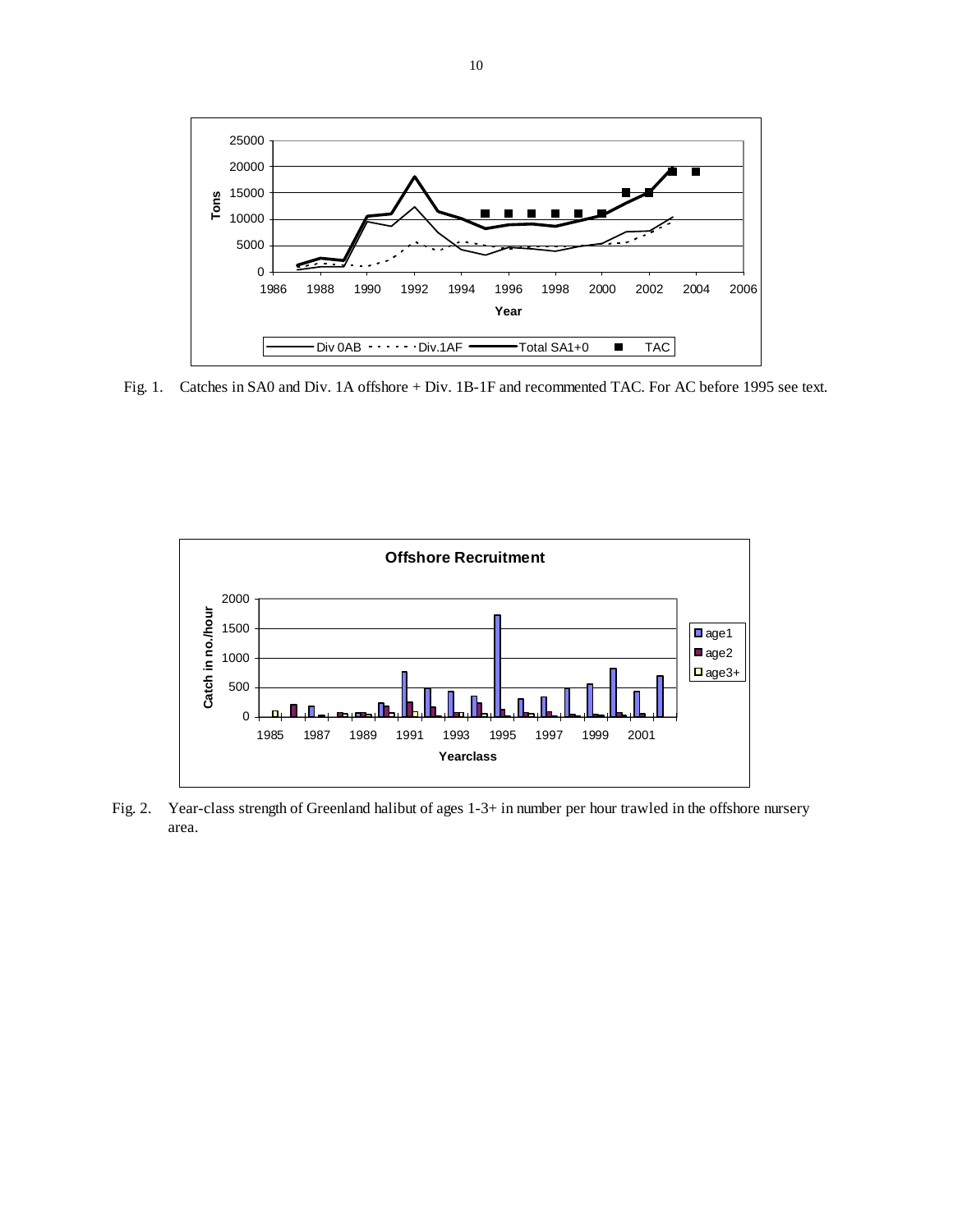

Fig. 1. Catches in SA0 and Div. 1A offshore + Div. 1B-1F and recommented TAC. For AC before 1995 see text.



Fig. 2. Year-class strength of Greenland halibut of ages 1-3+ in number per hour trawled in the offshore nursery area.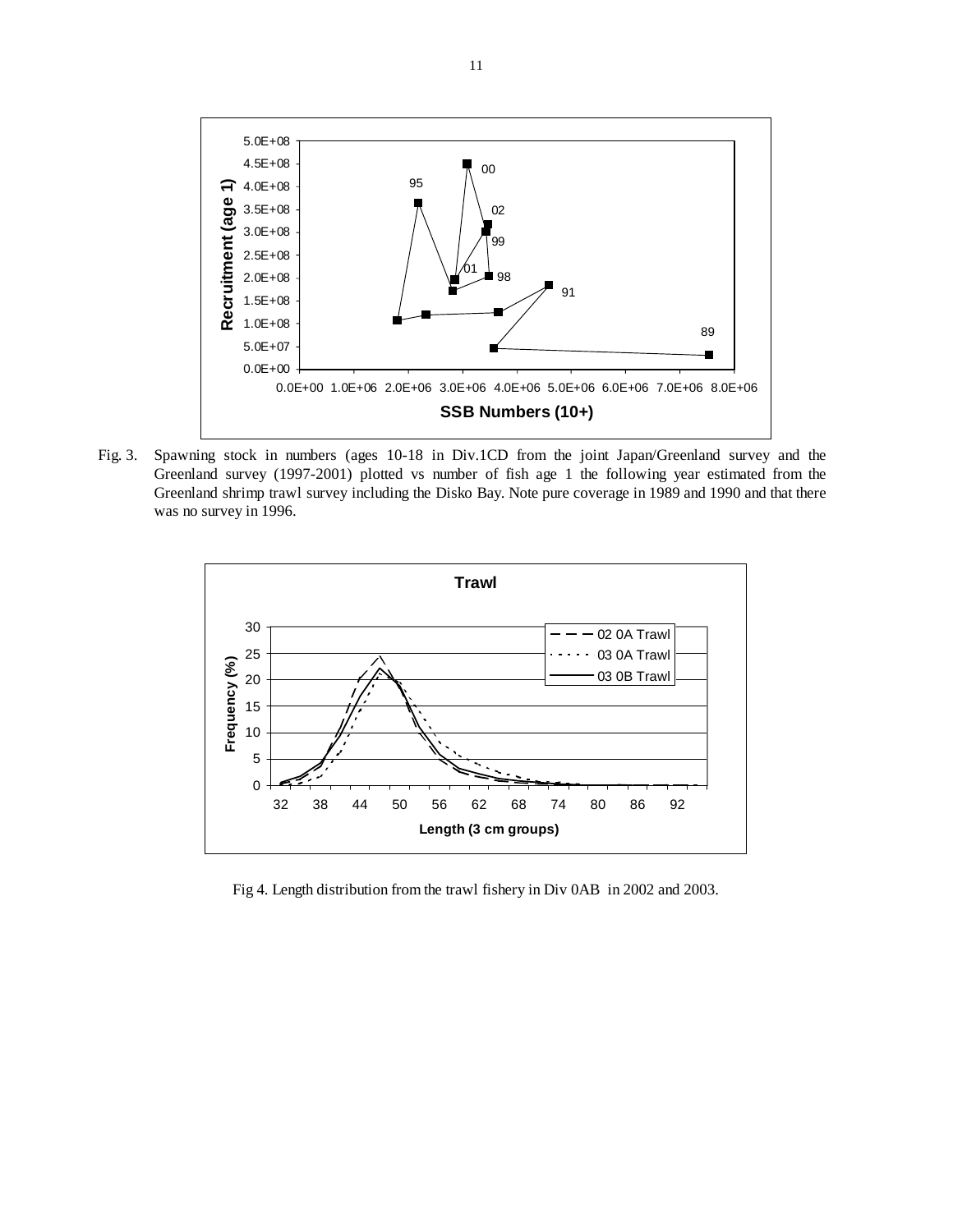

Fig. 3. Spawning stock in numbers (ages 10-18 in Div.1CD from the joint Japan/Greenland survey and the Greenland survey (1997-2001) plotted vs number of fish age 1 the following year estimated from the Greenland shrimp trawl survey including the Disko Bay. Note pure coverage in 1989 and 1990 and that there was no survey in 1996.



Fig 4. Length distribution from the trawl fishery in Div 0AB in 2002 and 2003.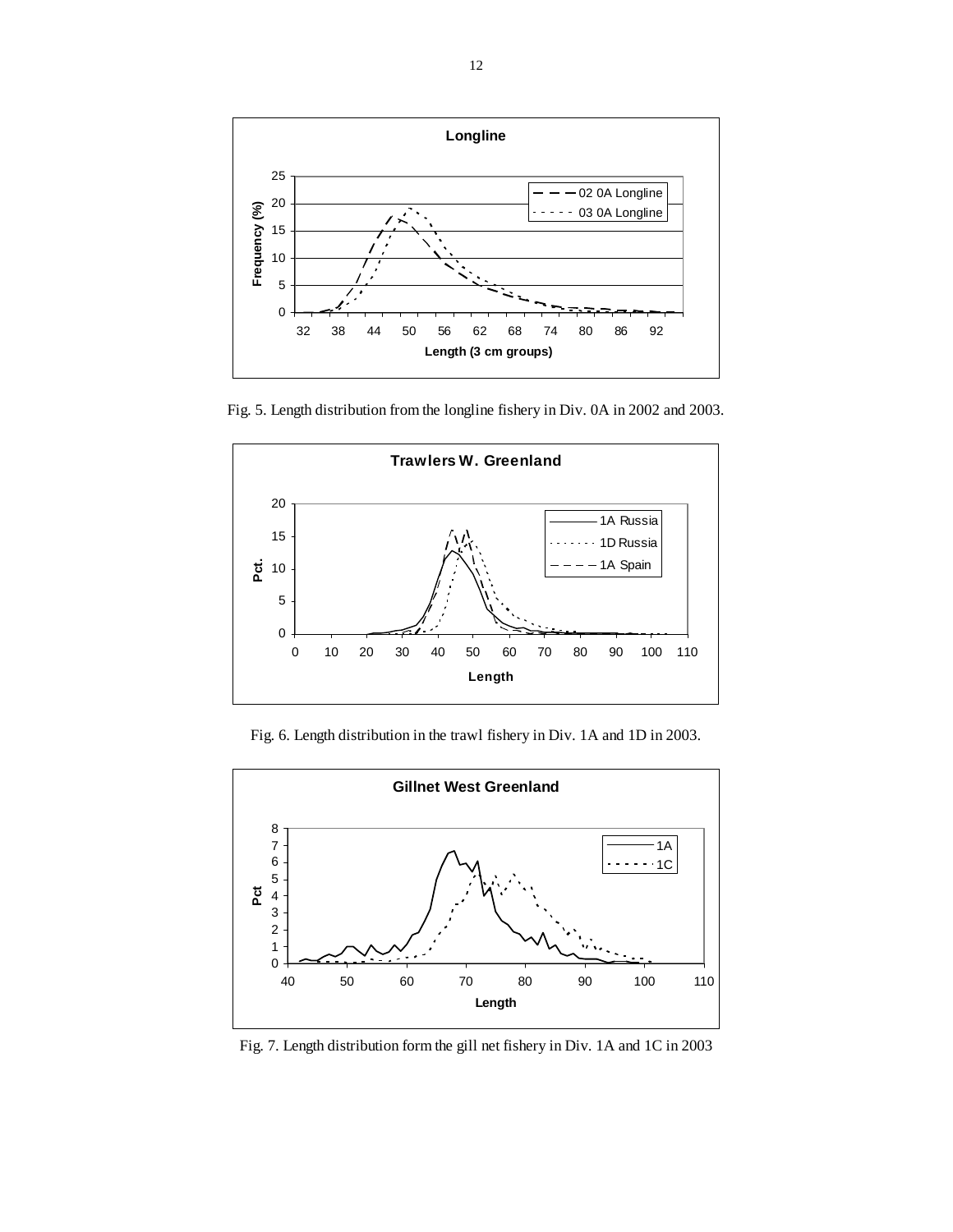

Fig. 5. Length distribution from the longline fishery in Div. 0A in 2002 and 2003.



Fig. 6. Length distribution in the trawl fishery in Div. 1A and 1D in 2003.



Fig. 7. Length distribution form the gill net fishery in Div. 1A and 1C in 2003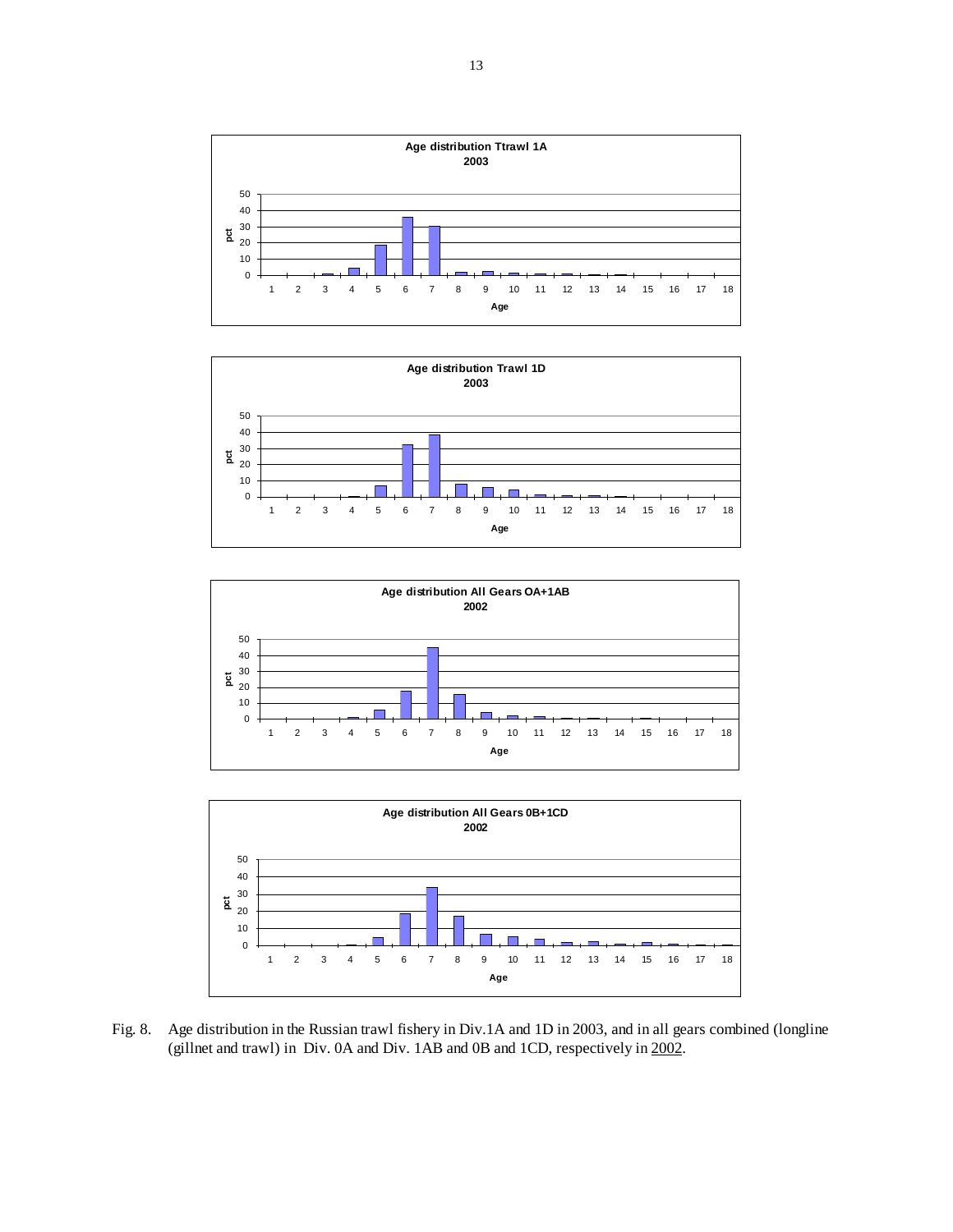







Fig. 8. Age distribution in the Russian trawl fishery in Div.1A and 1D in 2003, and in all gears combined (longline (gillnet and trawl) in Div. 0A and Div. 1AB and 0B and 1CD, respectively in 2002.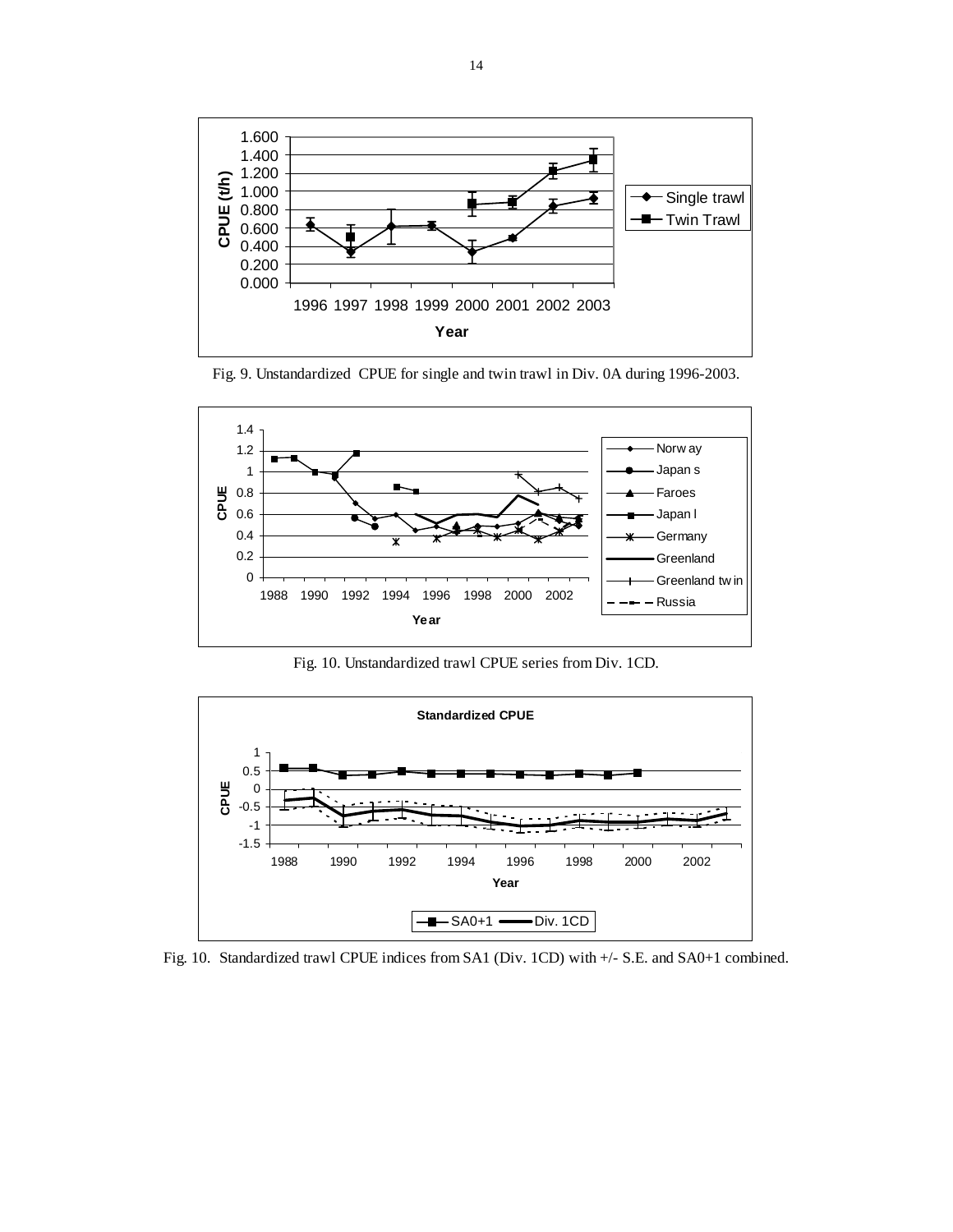

Fig. 9. Unstandardized CPUE for single and twin trawl in Div. 0A during 1996-2003.



Fig. 10. Unstandardized trawl CPUE series from Div. 1CD.



Fig. 10. Standardized trawl CPUE indices from SA1 (Div. 1CD) with +/- S.E. and SA0+1 combined.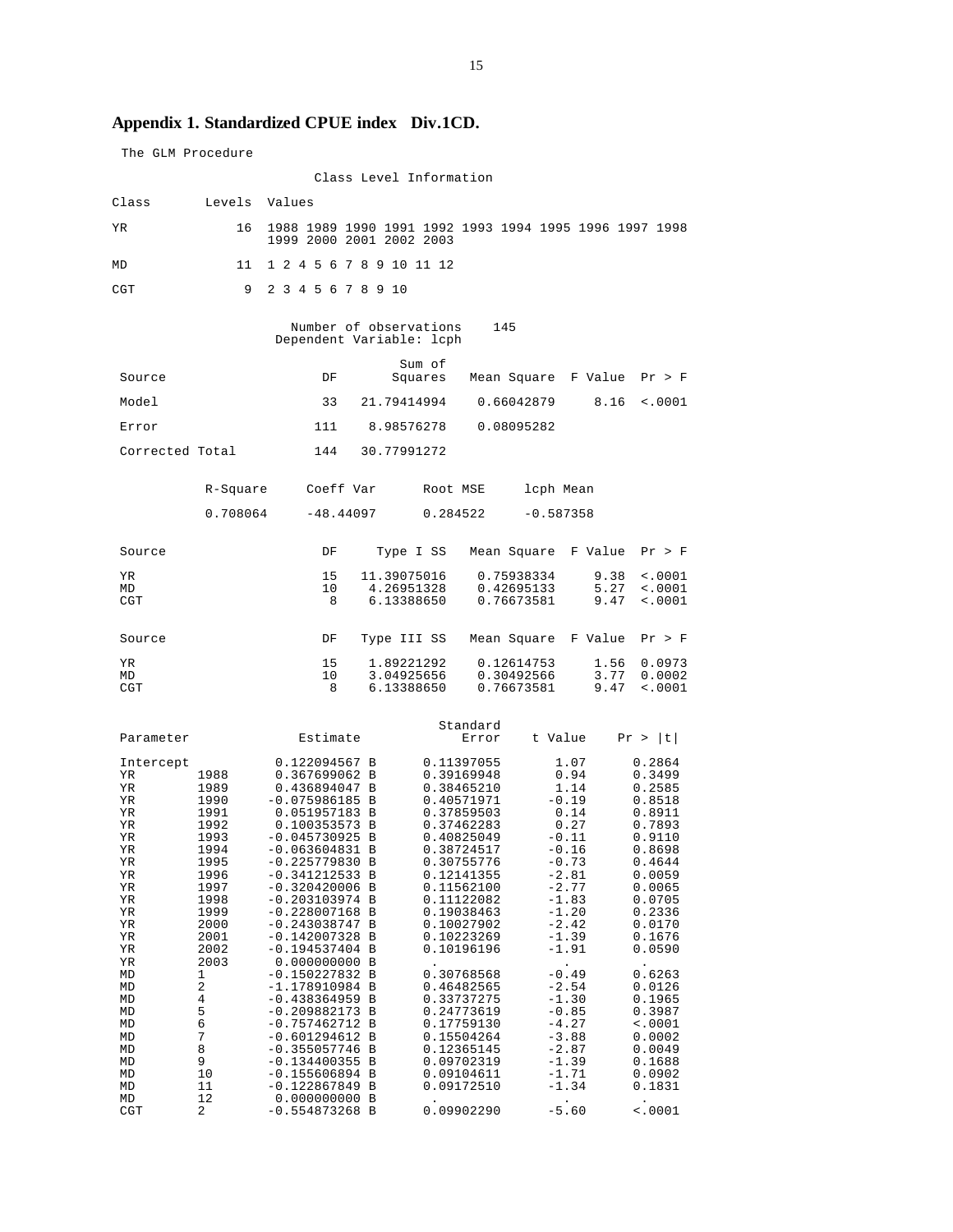# **Appendix 1. Standardized CPUE index Div.1CD.**

| The GLM Procedure     |              |                                                                                    |        |                           |                                        |                                 |                      |                            |
|-----------------------|--------------|------------------------------------------------------------------------------------|--------|---------------------------|----------------------------------------|---------------------------------|----------------------|----------------------------|
|                       |              |                                                                                    |        | Class Level Information   |                                        |                                 |                      |                            |
| Class                 | Levels       | Values                                                                             |        |                           |                                        |                                 |                      |                            |
| ΥR                    | 16           | 1988 1989 1990 1991 1992 1993 1994 1995 1996 1997 1998<br>1999 2000 2001 2002 2003 |        |                           |                                        |                                 |                      |                            |
| MD                    | 11           | 1 2 4 5 6 7 8 9 10 11 12                                                           |        |                           |                                        |                                 |                      |                            |
| CGT                   | 9            | 2 3 4 5 6 7 8 9 10                                                                 |        |                           |                                        |                                 |                      |                            |
|                       |              | Dependent Variable: lcph                                                           |        | Number of observations    | 145                                    |                                 |                      |                            |
| Source                |              | DF                                                                                 |        | Sum of<br>Squares         |                                        |                                 | Mean Square F Value  | Pr > F                     |
| Model                 |              | 33                                                                                 |        | 21.79414994               |                                        | 0.66042879                      | 8.16                 | $\sim 0001$                |
| Error                 |              | 111                                                                                |        | 8.98576278                |                                        | 0.08095282                      |                      |                            |
| Corrected Total       |              | 144                                                                                |        | 30.77991272               |                                        |                                 |                      |                            |
|                       | R-Square     | Coeff Var                                                                          |        | Root MSE                  |                                        | lcph Mean                       |                      |                            |
|                       | 0.708064     | $-48.44097$                                                                        |        | 0.284522                  |                                        | $-0.587358$                     |                      |                            |
| Source                |              | DF                                                                                 |        | Type I SS                 |                                        | Mean Square                     | F Value              | Pr > F                     |
| ΥR<br>MD              |              | 15<br>10                                                                           |        | 11.39075016<br>4.26951328 |                                        | 0.75938334<br>0.42695133        | 9.38<br>5.27         | $\sim 0001$<br>< .0001     |
| CGT                   |              | 8                                                                                  |        | 6.13388650                |                                        | 0.76673581                      | 9.47                 | < .0001                    |
| Source                |              | DF                                                                                 |        | Type III SS               |                                        |                                 | Mean Square F Value  | Pr > F                     |
| ΥR<br>МD              |              | 15<br>10                                                                           |        | 1.89221292<br>3.04925656  |                                        | 0.12614753<br>0.30492566        | 1.56<br>3.77         | 0.0973<br>0.0002           |
| CGT                   |              | 8                                                                                  |        | 6.13388650                |                                        | 0.76673581                      | 9.47                 | $\sim 0001$                |
|                       |              |                                                                                    |        |                           | Standard                               |                                 |                      |                            |
| Parameter             |              | Estimate                                                                           |        |                           | Error                                  | t Value                         |                      | Pr >  t                    |
| Intercept<br>ΥR<br>ΥR | 1988<br>1989 | 0.122094567 B<br>0.367699062 B<br>0.436894047 B                                    |        |                           | 0.11397055<br>0.39169948<br>0.38465210 |                                 | 1.07<br>0.94<br>1.14 | 0.2864<br>0.3499<br>0.2585 |
| ΥR                    | 1990         | $-0.075986185 B$                                                                   |        |                           | 0.40571971                             | $-0.19$                         |                      | 0.8518                     |
| ΥR<br>ΥR              | 1991<br>1992 | 0.051957183 B<br>0.100353573 B                                                     |        |                           | 0.37859503<br>0.37462283               |                                 | 0.14<br>0.27         | 0.8911<br>0.7893           |
| ΥR<br>ΥR              | 1993<br>1994 | $-0.045730925 B$<br>$-0.063604831 B$                                               |        |                           | 0.40825049<br>0.38724517               | $-0.11$<br>$-0.16$              |                      | 0.9110<br>0.8698           |
| ΥR<br>ΥR              | 1995<br>1996 | $-0.225779830$<br>$-0.341212533$                                                   | в<br>В |                           | 0.30755776<br>0.12141355               | $-0.73$<br>$-2.81$              |                      | 0.4644<br>0.0059           |
| ΥR<br>ΥR              | 1997<br>1998 | $-0.320420006$<br>$-0.203103974$                                                   | В<br>в |                           | 0.11562100<br>0.11122082               | $-2.77$<br>$-1.83$              |                      | 0.0065<br>0.0705           |
| ΥR                    | 1999         | $-0.228007168$                                                                     | В      |                           | 0.19038463                             | $-1.20$                         |                      | 0.2336                     |
| ΥR<br>ΥR              | 2000<br>2001 | $-0.243038747$<br>$-0.142007328$                                                   | B<br>В |                           | 0.10027902<br>0.10223269               | $-2.42$<br>$-1.39$              |                      | 0.0170<br>0.1676           |
| ΥR<br>ΥR              | 2002<br>2003 | $-0.194537404$<br>0.000000000                                                      | B<br>В |                           | 0.10196196                             | $-1.91$<br>$\ddot{\phantom{0}}$ |                      | 0.0590                     |
| MD<br>MD              | 1<br>2       | $-0.150227832$<br>$-1.178910984$                                                   | в<br>В |                           | 0.30768568<br>0.46482565               | $-0.49$<br>$-2.54$              |                      | 0.6263<br>0.0126           |
| MD<br>MD              | 4<br>5       | $-0.438364959$<br>$-0.209882173$                                                   | В<br>в |                           | 0.33737275<br>0.24773619               | $-1.30$<br>$-0.85$              |                      | 0.1965<br>0.3987           |
| MD                    | 6            | $-0.757462712 B$                                                                   |        |                           | 0.17759130                             | $-4.27$                         |                      | < .0001                    |
| MD<br>MD              | 7<br>8       | $-0.601294612$<br>$-0.355057746$                                                   | В<br>В |                           | 0.15504264<br>0.12365145               | $-3.88$<br>$-2.87$              |                      | 0.0002<br>0.0049           |
| MD<br>MD              | 9<br>10      | $-0.134400355$<br>$-0.155606894$                                                   | В<br>B |                           | 0.09702319<br>0.09104611               | $-1.39$<br>$-1.71$              |                      | 0.1688<br>0.0902           |
| MD<br>MD              | 11<br>12     | $-0.122867849$<br>0.000000000                                                      | В<br>В |                           | 0.09172510                             | $-1.34$                         |                      | 0.1831                     |
| CGT                   | 2            | $-0.554873268$ B                                                                   |        |                           | 0.09902290                             | $-5.60$                         |                      | < .0001                    |